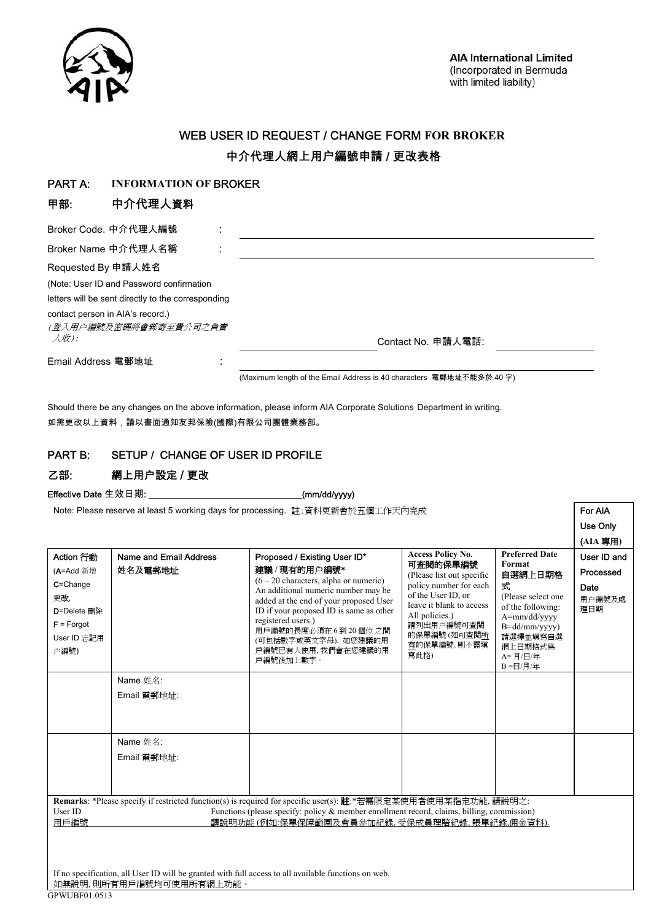

Use Only (**AIA** 專用**)** 

# WEB USER ID REQUEST / CHANGE FORM **FOR BROKER**  中介代理人網上用户編號申請 / 更改表格

#### PART A: **INFORMATION OF** BROKER

## 甲部: 中介代理人資料

| Broker Code. 中介代理人編號                                                                 |                                                                      |  |  |  |  |
|--------------------------------------------------------------------------------------|----------------------------------------------------------------------|--|--|--|--|
| Broker Name 中介代理人名稱                                                                  |                                                                      |  |  |  |  |
| Requested By 申請人姓名                                                                   |                                                                      |  |  |  |  |
| (Note: User ID and Password confirmation                                             |                                                                      |  |  |  |  |
| letters will be sent directly to the corresponding                                   |                                                                      |  |  |  |  |
| contact person in AIA's record.)<br>(登入用户編號及密碼將會郵寄至貴公司之負責)<br>$\mathcal{A}$ the $):$ | Contact No. 申請人電話:                                                   |  |  |  |  |
| Email Address 電郵地址                                                                   | (Maximum length of the Email Address is 40 characters 電郵地址不能多於 40 字) |  |  |  |  |

Should there be any changes on the above information, please inform AIA Corporate Solutions Department in writing. 如需更改以上資料,請以書面通知友邦保險(國際)有限公司團體業務部。

### PART B: SETUP / CHANGE OF USER ID PROFILE

## 乙部: 網上用户設定 / 更改

Effective Date 生效日期: \_\_\_\_\_\_\_\_\_\_\_\_\_\_\_\_\_\_\_\_\_\_\_\_\_\_\_\_\_\_\_\_\_\_\_(mm/dd/yyyy)

Note: Please reserve at least 5 working days for processing. 註:資料更新會於五個工作天內完成 **For AIA** 

| Action 行動<br>(A=Add 新增<br>C=Change<br>更改,<br>D=Delete 删除<br>$F =$ Forgot<br>User ID 忘記用<br>户編號)                                                                                                                                                                                   | Name and Email Address<br>姓名及電郵地址 | Proposed / Existing User ID*<br>建議/現有的用户編號*<br>$(6 - 20$ characters, alpha or numeric)<br>An additional numeric number may be<br>added at the end of your proposed User<br>ID if your proposed ID is same as other<br>registered users.)<br>用戶編號的長度必須在6到20個位之間<br>(可包括數字或英文字母). 如您建議的用<br>戶編號已有人使用,我們會在您建議的用<br>戶編號後加上數字。 | <b>Access Policy No.</b><br>可查閱的保單編號<br>(Please list out specific<br>policy number for each<br>of the User ID, or<br>leave it blank to access<br>All policies.)<br>請列出用户編號可查閱<br>的保單編號 (如可查閱所<br>有的保單編號,則不需填<br>寫此格) | <b>Preferred Date</b><br>Format<br>自選網上日期格<br>式<br>(Please select one<br>of the following:<br>A=mm/dd/yyyy<br>B=dd/mm/yyyy)<br>請選擇並填寫自選<br>網上日期格式為<br>A=月/日/年<br>B=日/月/年 | User ID and<br>Processed<br>Date<br>用户編號及處<br>理日期 |  |  |
|-----------------------------------------------------------------------------------------------------------------------------------------------------------------------------------------------------------------------------------------------------------------------------------|-----------------------------------|---------------------------------------------------------------------------------------------------------------------------------------------------------------------------------------------------------------------------------------------------------------------------------------------------------------------------|----------------------------------------------------------------------------------------------------------------------------------------------------------------------------------------------------------------------|--------------------------------------------------------------------------------------------------------------------------------------------------------------------------|---------------------------------------------------|--|--|
|                                                                                                                                                                                                                                                                                   | Name 姓名:<br>Email 電郵地址:           |                                                                                                                                                                                                                                                                                                                           |                                                                                                                                                                                                                      |                                                                                                                                                                          |                                                   |  |  |
|                                                                                                                                                                                                                                                                                   |                                   |                                                                                                                                                                                                                                                                                                                           |                                                                                                                                                                                                                      |                                                                                                                                                                          |                                                   |  |  |
|                                                                                                                                                                                                                                                                                   | Name 姓名:                          |                                                                                                                                                                                                                                                                                                                           |                                                                                                                                                                                                                      |                                                                                                                                                                          |                                                   |  |  |
|                                                                                                                                                                                                                                                                                   | Email 電郵地址:                       |                                                                                                                                                                                                                                                                                                                           |                                                                                                                                                                                                                      |                                                                                                                                                                          |                                                   |  |  |
|                                                                                                                                                                                                                                                                                   |                                   |                                                                                                                                                                                                                                                                                                                           |                                                                                                                                                                                                                      |                                                                                                                                                                          |                                                   |  |  |
|                                                                                                                                                                                                                                                                                   |                                   |                                                                                                                                                                                                                                                                                                                           |                                                                                                                                                                                                                      |                                                                                                                                                                          |                                                   |  |  |
| Remarks: *Please specify if restricted function(s) is required for specific user(s): 註:*若需限定某使用者使用某指定功能, 請說明之:<br>User ID<br>Functions (please specify: policy $\&$ member enrollment record, claims, billing, commission)<br>請說明功能(例如:保單保障範圍及會員參加紀錄、受保成員理賠紀錄、賬單紀錄、佣金資料).<br>用戶編號 |                                   |                                                                                                                                                                                                                                                                                                                           |                                                                                                                                                                                                                      |                                                                                                                                                                          |                                                   |  |  |
| If no specification, all User ID will be granted with full access to all available functions on web.<br>如無說明,則所有用戶編號均可使用所有網上功能。                                                                                                                                                   |                                   |                                                                                                                                                                                                                                                                                                                           |                                                                                                                                                                                                                      |                                                                                                                                                                          |                                                   |  |  |